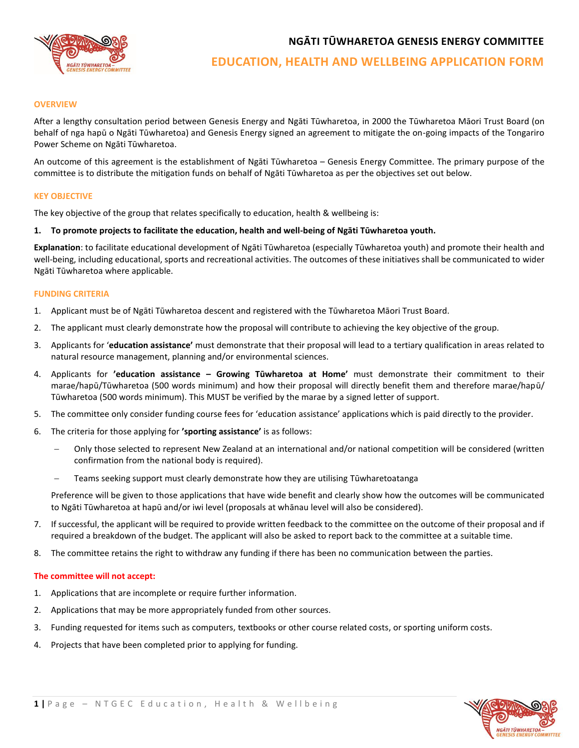**NGĀTI TŪWHARETOA GENESIS ENERGY COMMITTEE**



# **EDUCATION, HEALTH AND WELLBEING APPLICATION FORM**

## **OVERVIEW**

After a lengthy consultation period between Genesis Energy and Ngāti Tūwharetoa, in 2000 the Tūwharetoa Māori Trust Board (on behalf of nga hapū o Ngāti Tūwharetoa) and Genesis Energy signed an agreement to mitigate the on-going impacts of the Tongariro Power Scheme on Ngāti Tūwharetoa.

An outcome of this agreement is the establishment of Ngāti Tūwharetoa – Genesis Energy Committee. The primary purpose of the committee is to distribute the mitigation funds on behalf of Ngāti Tūwharetoa as per the objectives set out below.

# **KEY OBJECTIVE**

The key objective of the group that relates specifically to education, health & wellbeing is:

# **1. To promote projects to facilitate the education, health and well-being of Ngāti Tūwharetoa youth.**

**Explanation**: to facilitate educational development of Ngāti Tūwharetoa (especially Tūwharetoa youth) and promote their health and well-being, including educational, sports and recreational activities. The outcomes of these initiatives shall be communicated to wider Ngāti Tūwharetoa where applicable.

## **FUNDING CRITERIA**

- 1. Applicant must be of Ngāti Tūwharetoa descent and registered with the Tūwharetoa Māori Trust Board.
- 2. The applicant must clearly demonstrate how the proposal will contribute to achieving the key objective of the group.
- 3. Applicants for '**education assistance'** must demonstrate that their proposal will lead to a tertiary qualification in areas related to natural resource management, planning and/or environmental sciences.
- 4. Applicants for **'education assistance – Growing Tūwharetoa at Home'** must demonstrate their commitment to their marae/hapū/Tūwharetoa (500 words minimum) and how their proposal will directly benefit them and therefore marae/hapū/ Tūwharetoa (500 words minimum). This MUST be verified by the marae by a signed letter of support.
- 5. The committee only consider funding course fees for 'education assistance' applications which is paid directly to the provider.
- 6. The criteria for those applying for **'sporting assistance'** is as follows:
	- − Only those selected to represent New Zealand at an international and/or national competition will be considered (written confirmation from the national body is required).
	- Teams seeking support must clearly demonstrate how they are utilising Tūwharetoatanga

Preference will be given to those applications that have wide benefit and clearly show how the outcomes will be communicated to Ngāti Tūwharetoa at hapū and/or iwi level (proposals at whānau level will also be considered).

- 7. If successful, the applicant will be required to provide written feedback to the committee on the outcome of their proposal and if required a breakdown of the budget. The applicant will also be asked to report back to the committee at a suitable time.
- 8. The committee retains the right to withdraw any funding if there has been no communication between the parties.

## **The committee will not accept:**

- 1. Applications that are incomplete or require further information.
- 2. Applications that may be more appropriately funded from other sources.
- 3. Funding requested for items such as computers, textbooks or other course related costs, or sporting uniform costs.
- 4. Projects that have been completed prior to applying for funding.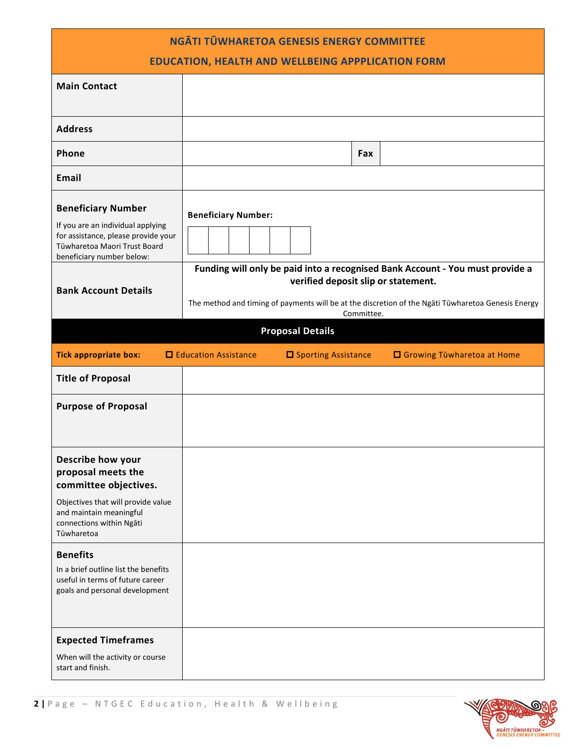| NGĀTI TŪWHARETOA GENESIS ENERGY COMMITTEE<br><b>EDUCATION, HEALTH AND WELLBEING APPPLICATION FORM</b>                                                              |                                                                                                                                                         |                         |     |                                                                               |  |
|--------------------------------------------------------------------------------------------------------------------------------------------------------------------|---------------------------------------------------------------------------------------------------------------------------------------------------------|-------------------------|-----|-------------------------------------------------------------------------------|--|
| <b>Main Contact</b>                                                                                                                                                |                                                                                                                                                         |                         |     |                                                                               |  |
| <b>Address</b>                                                                                                                                                     |                                                                                                                                                         |                         |     |                                                                               |  |
| Phone                                                                                                                                                              |                                                                                                                                                         |                         | Fax |                                                                               |  |
| <b>Email</b>                                                                                                                                                       |                                                                                                                                                         |                         |     |                                                                               |  |
| <b>Beneficiary Number</b><br>If you are an individual applying<br>for assistance, please provide your<br>Tūwharetoa Maori Trust Board<br>beneficiary number below: | <b>Beneficiary Number:</b>                                                                                                                              |                         |     | Funding will only be paid into a recognised Bank Account - You must provide a |  |
| <b>Bank Account Details</b>                                                                                                                                        | verified deposit slip or statement.<br>The method and timing of payments will be at the discretion of the Ngati Tūwharetoa Genesis Energy<br>Committee. |                         |     |                                                                               |  |
|                                                                                                                                                                    |                                                                                                                                                         | <b>Proposal Details</b> |     |                                                                               |  |
| <b>Tick appropriate box:</b>                                                                                                                                       | □ Education Assistance                                                                                                                                  | □ Sporting Assistance   |     | □ Growing Tūwharetoa at Home                                                  |  |
| <b>Title of Proposal</b>                                                                                                                                           |                                                                                                                                                         |                         |     |                                                                               |  |
| <b>Purpose of Proposal</b>                                                                                                                                         |                                                                                                                                                         |                         |     |                                                                               |  |
| Describe how your<br>proposal meets the<br>committee objectives.                                                                                                   |                                                                                                                                                         |                         |     |                                                                               |  |
| Objectives that will provide value<br>and maintain meaningful<br>connections within Ngāti<br>Tūwharetoa                                                            |                                                                                                                                                         |                         |     |                                                                               |  |
| <b>Benefits</b><br>In a brief outline list the benefits<br>useful in terms of future career<br>goals and personal development                                      |                                                                                                                                                         |                         |     |                                                                               |  |
| <b>Expected Timeframes</b><br>When will the activity or course<br>start and finish.                                                                                |                                                                                                                                                         |                         |     |                                                                               |  |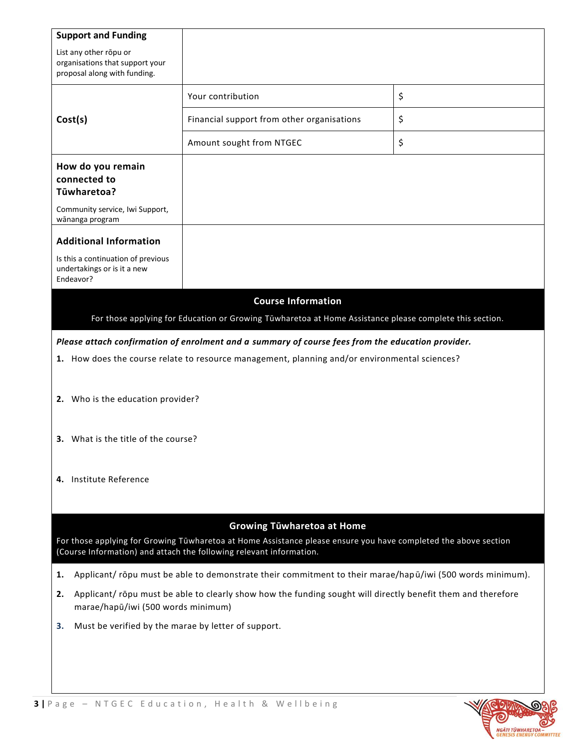| <b>Support and Funding</b>                                                                                                                                                                                                                                                                                                                                                                                                                       |                                                                                                          |    |  |  |  |
|--------------------------------------------------------------------------------------------------------------------------------------------------------------------------------------------------------------------------------------------------------------------------------------------------------------------------------------------------------------------------------------------------------------------------------------------------|----------------------------------------------------------------------------------------------------------|----|--|--|--|
| List any other rōpu or<br>organisations that support your<br>proposal along with funding.                                                                                                                                                                                                                                                                                                                                                        |                                                                                                          |    |  |  |  |
|                                                                                                                                                                                                                                                                                                                                                                                                                                                  | Your contribution                                                                                        | \$ |  |  |  |
| Cost(s)                                                                                                                                                                                                                                                                                                                                                                                                                                          | Financial support from other organisations                                                               | \$ |  |  |  |
|                                                                                                                                                                                                                                                                                                                                                                                                                                                  | Amount sought from NTGEC                                                                                 | \$ |  |  |  |
| How do you remain<br>connected to<br>Tūwharetoa?                                                                                                                                                                                                                                                                                                                                                                                                 |                                                                                                          |    |  |  |  |
| Community service, Iwi Support,<br>wānanga program                                                                                                                                                                                                                                                                                                                                                                                               |                                                                                                          |    |  |  |  |
| <b>Additional Information</b>                                                                                                                                                                                                                                                                                                                                                                                                                    |                                                                                                          |    |  |  |  |
| Is this a continuation of previous<br>undertakings or is it a new<br>Endeavor?                                                                                                                                                                                                                                                                                                                                                                   |                                                                                                          |    |  |  |  |
| <b>Course Information</b><br>For those applying for Education or Growing Tūwharetoa at Home Assistance please complete this section.<br>Please attach confirmation of enrolment and a summary of course fees from the education provider.<br>1. How does the course relate to resource management, planning and/or environmental sciences?<br>2. Who is the education provider?<br>3. What is the title of the course?<br>4. Institute Reference |                                                                                                          |    |  |  |  |
|                                                                                                                                                                                                                                                                                                                                                                                                                                                  |                                                                                                          |    |  |  |  |
| <b>Growing Tüwharetoa at Home</b><br>For those applying for Growing Tūwharetoa at Home Assistance please ensure you have completed the above section<br>(Course Information) and attach the following relevant information.                                                                                                                                                                                                                      |                                                                                                          |    |  |  |  |
| 1.                                                                                                                                                                                                                                                                                                                                                                                                                                               | Applicant/ropu must be able to demonstrate their commitment to their marae/hapū/iwi (500 words minimum). |    |  |  |  |
| Applicant/ropu must be able to clearly show how the funding sought will directly benefit them and therefore<br>2.<br>marae/hapū/iwi (500 words minimum)                                                                                                                                                                                                                                                                                          |                                                                                                          |    |  |  |  |
| Must be verified by the marae by letter of support.<br>3.                                                                                                                                                                                                                                                                                                                                                                                        |                                                                                                          |    |  |  |  |
|                                                                                                                                                                                                                                                                                                                                                                                                                                                  |                                                                                                          |    |  |  |  |